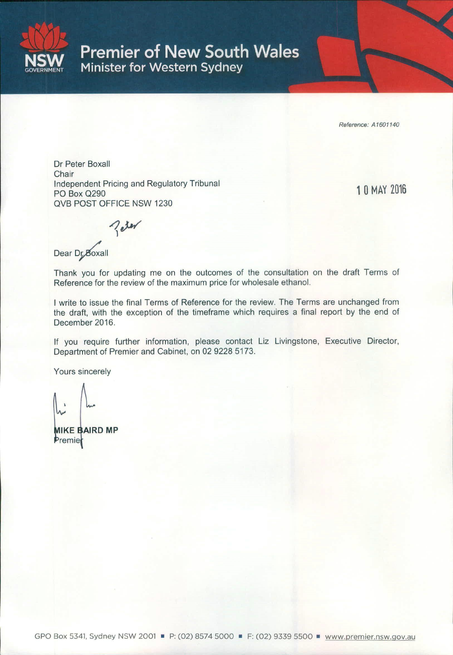

**Premier of New South Wales** Minister for Western Sydney

Reference: A1601140

Dr Peter Boxall Chair Independent Pricing and Regulatory Tribunal **PO Box Q290 OVB POST OFFICE NSW 1230** 

10 MAY 2016

 $2e^{i\theta}$ 

Dear Dr Boxall

Thank you for updating me on the outcomes of the consultation on the draft Terms of Reference for the review of the maximum price for wholesale ethanol.

I write to issue the final Terms of Reference for the review. The Terms are unchanged from the draft, with the exception of the timeframe which requires a final report by the end of December 2016.

If you require further information, please contact Liz Livingstone, Executive Director, Department of Premier and Cabinet, on 02 9228 5173.

Yours sincerely

**MIKE BAIRD MP** Premier